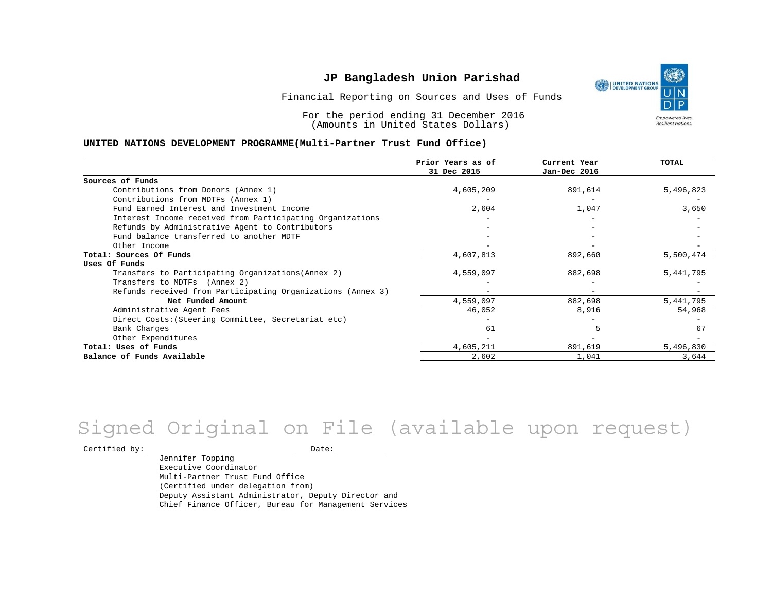Financial Reporting on Sources and Uses of Funds

For the period ending 31 December 2016 (Amounts in United States Dollars)

#### **UNITED NATIONS DEVELOPMENT PROGRAMME(Multi-Partner Trust Fund Office)**

|                                                             | Prior Years as of<br>31 Dec 2015 | Current Year<br>Jan-Dec 2016 | TOTAL     |
|-------------------------------------------------------------|----------------------------------|------------------------------|-----------|
|                                                             |                                  |                              |           |
| Sources of Funds                                            |                                  |                              |           |
| Contributions from Donors (Annex 1)                         | 4,605,209                        | 891,614                      | 5,496,823 |
| Contributions from MDTFs (Annex 1)                          |                                  |                              |           |
| Fund Earned Interest and Investment Income                  | 2,604                            | 1,047                        | 3,650     |
| Interest Income received from Participating Organizations   |                                  |                              |           |
| Refunds by Administrative Agent to Contributors             |                                  |                              |           |
| Fund balance transferred to another MDTF                    |                                  |                              |           |
| Other Income                                                |                                  |                              |           |
| Total: Sources Of Funds                                     | 4,607,813                        | 892,660                      | 5,500,474 |
| Uses Of Funds                                               |                                  |                              |           |
| Transfers to Participating Organizations (Annex 2)          | 4,559,097                        | 882,698                      | 5,441,795 |
| Transfers to MDTFs (Annex 2)                                |                                  |                              |           |
| Refunds received from Participating Organizations (Annex 3) |                                  | $\overline{\phantom{0}}$     |           |
| Net Funded Amount                                           | 4,559,097                        | 882,698                      | 5,441,795 |
| Administrative Agent Fees                                   | 46,052                           | 8,916                        | 54,968    |
| Direct Costs: (Steering Committee, Secretariat etc)         |                                  |                              |           |
| Bank Charges                                                | 61                               |                              | 67        |
| Other Expenditures                                          |                                  |                              |           |
| Total: Uses of Funds                                        | 4,605,211                        | 891,619                      | 5,496,830 |
| Balance of Funds Available                                  | 2,602                            | 1,041                        | 3,644     |

# Signed Original on File (available upon request)

Certified by: Date:

Jennifer Topping Executive Coordinator Multi-Partner Trust Fund Office (Certified under delegation from) Deputy Assistant Administrator, Deputy Director and Chief Finance Officer, Bureau for Management Services

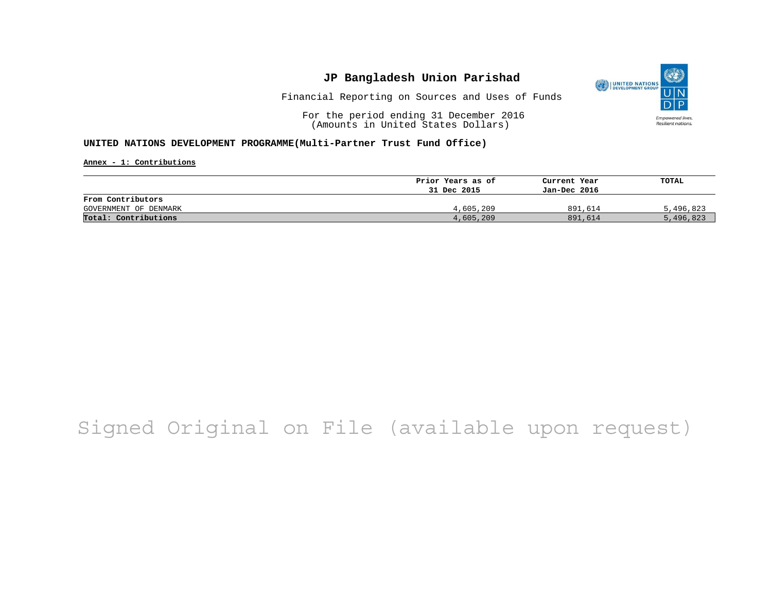

Financial Reporting on Sources and Uses of Funds

For the period ending 31 December 2016 (Amounts in United States Dollars)

#### **UNITED NATIONS DEVELOPMENT PROGRAMME(Multi-Partner Trust Fund Office)**

**Annex - 1: Contributions**

|                       | Prior Years as of | Current Year | TOTAL     |
|-----------------------|-------------------|--------------|-----------|
|                       | 31 Dec 2015       | Jan-Dec 2016 |           |
| From Contributors     |                   |              |           |
| GOVERNMENT OF DENMARK | 4,605,209         | 891,614      | 5,496,823 |
| Total: Contributions  | 4,605,209         | 891,614      | 5,496,823 |

## Signed Original on File (available upon request)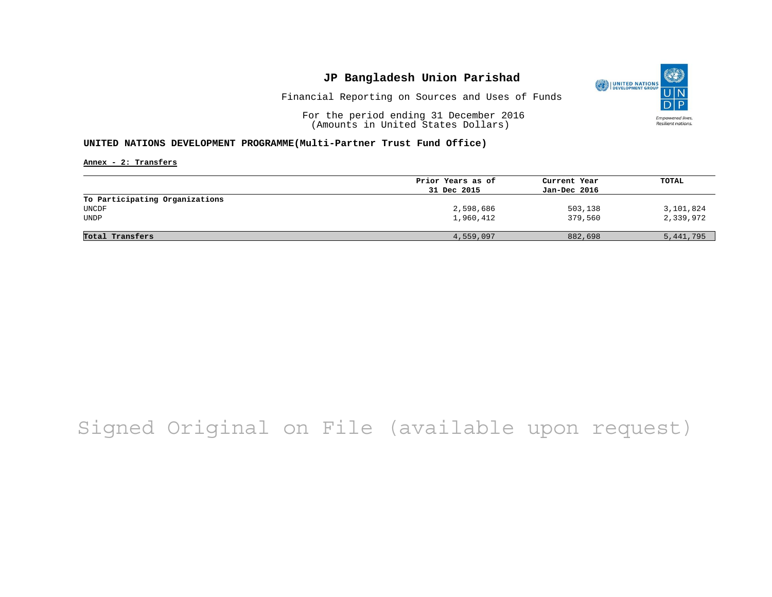

Financial Reporting on Sources and Uses of Funds

For the period ending 31 December 2016 (Amounts in United States Dollars)

#### **UNITED NATIONS DEVELOPMENT PROGRAMME(Multi-Partner Trust Fund Office)**

**Annex - 2: Transfers**

|                                | Prior Years as of | Current Year | TOTAL     |
|--------------------------------|-------------------|--------------|-----------|
|                                | 31 Dec 2015       | Jan-Dec 2016 |           |
| To Participating Organizations |                   |              |           |
| UNCDF                          | 2,598,686         | 503,138      | 3,101,824 |
| <b>UNDP</b>                    | 1,960,412         | 379,560      | 2,339,972 |
|                                |                   |              |           |
| Total Transfers                | 4,559,097         | 882,698      | 5,441,795 |

## Signed Original on File (available upon request)